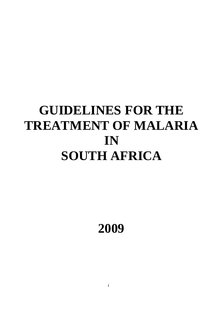# **GUIDELINES FOR THE TREATMENT OF MALARIA IN SOUTH AFRICA**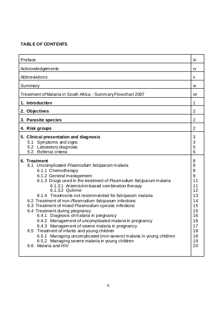# **TABLE OF CONTENTS**

| Preface                                                                                                                                                                                                                                                                                                                                                                                                                                                                                                                                                                                                                                                                                                                                                                                                                                   | Ϊİ                                                                                                   |
|-------------------------------------------------------------------------------------------------------------------------------------------------------------------------------------------------------------------------------------------------------------------------------------------------------------------------------------------------------------------------------------------------------------------------------------------------------------------------------------------------------------------------------------------------------------------------------------------------------------------------------------------------------------------------------------------------------------------------------------------------------------------------------------------------------------------------------------------|------------------------------------------------------------------------------------------------------|
| Acknowledgements                                                                                                                                                                                                                                                                                                                                                                                                                                                                                                                                                                                                                                                                                                                                                                                                                          |                                                                                                      |
| Abbreviations                                                                                                                                                                                                                                                                                                                                                                                                                                                                                                                                                                                                                                                                                                                                                                                                                             |                                                                                                      |
| Summary                                                                                                                                                                                                                                                                                                                                                                                                                                                                                                                                                                                                                                                                                                                                                                                                                                   | Vİ                                                                                                   |
| Treatment of Malaria in South Africa - Summary Flowchart 2007                                                                                                                                                                                                                                                                                                                                                                                                                                                                                                                                                                                                                                                                                                                                                                             | vii                                                                                                  |
| 1. Introduction                                                                                                                                                                                                                                                                                                                                                                                                                                                                                                                                                                                                                                                                                                                                                                                                                           | 1                                                                                                    |
| 2. Objectives                                                                                                                                                                                                                                                                                                                                                                                                                                                                                                                                                                                                                                                                                                                                                                                                                             | 2                                                                                                    |
| 3. Parasite species                                                                                                                                                                                                                                                                                                                                                                                                                                                                                                                                                                                                                                                                                                                                                                                                                       | 2                                                                                                    |
| 4. Risk groups                                                                                                                                                                                                                                                                                                                                                                                                                                                                                                                                                                                                                                                                                                                                                                                                                            | 2                                                                                                    |
| 5. Clinical presentation and diagnosis<br>5.1 Symptoms and signs<br>5.2 Laboratory diagnosis<br>5.2 Referral criteria                                                                                                                                                                                                                                                                                                                                                                                                                                                                                                                                                                                                                                                                                                                     | 3<br>3<br>5<br>6                                                                                     |
| 6. Treatment<br>6.1 Uncomplicated Plasmodium falciparum malaria<br>6.1.1 Chemotherapy<br>6.1.2 General management<br>6.1.3 Drugs used in the treatment of Plasmodum falciparum malaria<br>6.1.3.1 Artem is in in-based combination therapy<br>6.1.3.2 Quinine<br>6.1.4 Treatments not recommended for falciparum malaria<br>6.2 Treatment of non-Plasmodium falciparum infections<br>6.3 Treatment of mixed Plasmodium species infections<br>6.4 Treatment during pregnancy<br>6.4.1 Diagnosis of malaria in pregnancy<br>6.4.2 Management of uncomplicated malaria in pregnancy<br>6.4.3 Management of severe malaria in pregnancy<br>Treatment of infants and young children<br>6.5<br>6.5.1 Managing uncomplicated (non-severe) malaria in young children<br>6.5.2 Managing severe malaria in young children<br>Malaria and HIV<br>6.6 | 8<br>8<br>8<br>9<br>11<br>11<br>12<br>13<br>14<br>15<br>15<br>16<br>16<br>17<br>18<br>18<br>19<br>20 |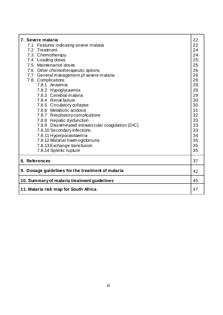| 7. Severe malaria                                  |    |  |
|----------------------------------------------------|----|--|
| 7.1 Features indicating severe malaria             | 22 |  |
| 7.2 Treatment                                      | 24 |  |
| 7.3 Chemotherapy                                   | 24 |  |
| 7.4 Loading doses                                  | 25 |  |
| 7.5 Maintenance doses                              | 25 |  |
| 7.6 Other chemotherapeutic options                 | 26 |  |
| 7.7 General management pf severe malaria           | 26 |  |
| 7.8 Complications                                  | 28 |  |
| 7.8.1 Anaemia                                      | 28 |  |
| 7.8.2 Hypoglycaemia                                | 28 |  |
| 7.8.3 Cerebral malaria                             | 29 |  |
| 7.8.4 Renal failure                                | 30 |  |
| 7.8.5 Circulatory collapse                         | 30 |  |
| 7.8.6 Metabolic acidosis                           | 31 |  |
| 7.8.7 Respiratory complications                    | 32 |  |
| 7.8.8 Hepatic dysfunction                          | 33 |  |
| 7.8.9 Disseminated intravascular coagulation (DIC) | 33 |  |
| 7.8.10 Secondary infections                        | 33 |  |
| 7.8.11 Hyperparasitaemia                           | 34 |  |
| 7.8.12 Malarial haemoglobinuria                    | 35 |  |
| 7.8.13 Exchange transfusion                        | 35 |  |
| 7.8.14 Splenic rupture                             | 35 |  |
| 8. References<br>37                                |    |  |
| 9. Dosage guidelines for the treatment of malaria  |    |  |
| 10. Summary of malaria treatment guidelines        |    |  |
| 11. Malaria risk map for South Africa              |    |  |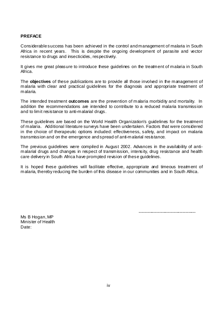#### **PREFACE**

Considerable success has been achieved in the control and management of malaria in South Africa in recent years. This is despite the ongoing development of parasite and vector resistance to drugs and insecticides, respectively.

It gives me great pleasure to introduce these guidelines on the treatment of malaria in South Africa.

The **objectives** of these publications are to provide all those involved in the management of malaria with clear and practical guidelines for the diagnosis and appropriate treatment of malaria.

The intended treatment **outcomes** are the prevention of malaria morbidity and mortality. In addition the recommendations are intended to contribute to a reduced malaria transmission and to limit resistance to anti-malarial drugs.

These guidelines are based on the World Health Organization's guidelines for the treatment of malaria. Additional literature surveys have been undertaken. Factors that were considered in the choice of therapeutic options included: effectiveness, safety, and impact on malaria transmission and on the emergence and spread of anti-malarial resistance.

The previous guidelines were compiled in August 2002. Advances in the availability of antimalarial drugs and changes in respect of transmission, intensity, drug resistance and health care delivery in South Africa have prompted revision of these guidelines.

It is hoped these guidelines will facilitate effective, appropriate and timeous treatment of malaria, thereby reducing the burden of this disease in our communities and in South Africa.

---------------------------------------

Ms B Hogan, MP Minister of Health Date: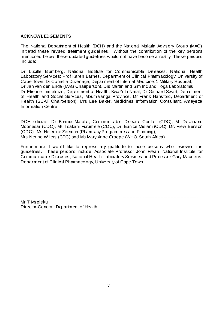#### **ACKNOWLEDGEMENTS**

The National Department of Health (DOH) and the National Malaria Advisory Group (MAG) initiated these revised treatment guidelines. Without the contribution of the key persons mentioned below, these updated guidelines would not have become a reality. These persons include:

Dr Lucille Blumberg, National Institute for Communicable Diseases, National Health Laboratory Services; Prof Karen Barnes, Department of Clinical Pharmacology, University of Cape Town, Dr Cornelia Duvenage, Department of Internal Medicine, 1 Military Hospital; Dr Jan van den Ende (MAG Chairperson), Drs Martin and Sim Inc and Toga Laboratories; Dr Etienne Immelman, Department of Health, KwaZulu Natal, Dr Gerhard Swart, Department of Health and Social Services, Mpumalanga Province, Dr Frank Hansford, Department of Health (SCAT Chairperson); Mrs Lee Baker, Medicines Information Consultant, Amayeza Information Centre.

DOH officials: Dr Bonnie Maloba, Communicable Disease Control (CDC), Mr Devanand Moonasar (CDC), Ms Tsakani Furumele (CDC), Dr. Eunice Misiani (CDC), Dr. Frew Benson (CDC), Ms Helecine Zeeman (Pharmacy Programmes and Planning), Mrs Nerine Willers (CDC) and Ms Mary Anne Groepe (WHO, South Africa)

Furthermore, I would like to express my gratitude to those persons who reviewed the guidelines. These persons include: Associate Professor John Frean, National Institute for Communicable Diseases, National Health Laboratory Services and Professor Gary Maartens, Department of Clinical Pharmacology, University of Cape Town.

----------------------------------------------------

Mr T Mseleku Director-General: Department of Health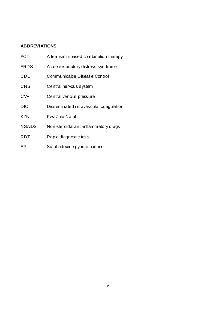# **ABBREVIATIONS**

| <b>ACT</b>    | Artemisinin-based combination therapy  |
|---------------|----------------------------------------|
| <b>ARDS</b>   | Acute respiratory distress syndrome    |
| <b>CDC</b>    | Communicable Disease Control           |
| <b>CNS</b>    | Central nervous system                 |
| <b>CVP</b>    | Central venous pressure                |
| <b>DIC</b>    | Disseminated intravascular coagulation |
| <b>KZN</b>    | KwaZulu-Natal                          |
| <b>NSAIDS</b> | Non-steroidal anti-inflammatory drugs  |
| <b>RDT</b>    | Rapid diagnostic tests                 |
| <b>SP</b>     | Sulphadoxine-pyrimethamine             |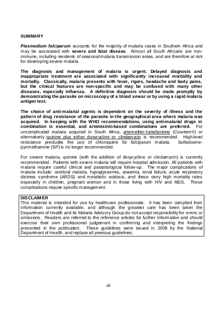#### **SUMMARY**

**Plasmodium falciparum** accounts for the majority of malaria cases in Southem Africa and may be associated with **severe and fatal disease.** Almost all South Africans are nonimmune, including residents of seasonal malaria transmission areas, and are therefore at risk for developing severe malaria.

**The diagnosis and management of malaria is urgent. Delayed diagnosis and inappropriate treatment are associated with significantly increased morbidity and mortality. Classically, malaria presents with fever, rigors, headache and body pains, but the clinical features are non-specific and may be confused with many other diseases, especially influenza. A definitive diagnosis should be made promptly by demonstrating the parasite on microscopy of a blood smear or by using a rapid malaria antigen test.** 

**The choice of anti-malarial agents is dependent on the severity of illness and the pattern of drug resistance of the parasite in the geographical area where malaria was acquired. In keeping with the WHO recommendations, using anti-malarial drugs in combination is essential, and artemisinin-based combinations are preferred.** For uncomplicated malaria acquired in South Africa, artemether-lumefantrine (Coartem®) or alternatively quinine plus either doxycycline or clindamycin is recommended. High-level resistance precludes the use of chloroquine for falciparum malaria. Sulfadoxinepyrimethamine (SP) is no longer recommended.

For severe malaria, quinine (with the addition of doxycycline or clindamycin) is currently recommended. Patients with severe malaria will require hospital admission. All patients with malaria require careful clinical and parasitological follow-up. The major complications of malaria include: cerebral malaria, hypoglycaemia, anaemia, renal failure, acute respiratory distress syndrome (ARDS) and metabolic acidosis, and these carry high mortality rates especially in children, pregnant woman and in those living with HIV and AIDS. These complications require specific management.

#### **DISCLAIMER**

This material is intended for use by healthcare professionals. It has been compiled from information currently available, and although the greatest care has been taken the Department of Health and its Malaria Advisory Group do not accept responsibility for errors or omissions. Readers are referred to the reference articles for further information and should exercise their own professional judgement in confirming and interpreting the findings presented in the publication. These guidelines were issued in 2008 by the National Department of Health, and replace all previous guidelines.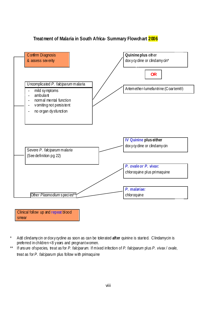

# **Treatment of Malaria in South Africa- Summary Flowchart 2006**

- \* Add clindamycin or doxycycline as soon as can be tolerated **after** quinine is started. Clindamycin is preferred in children <8 years and pregnant women.
- \*\* If unsure of species, treat as for *P. falciparum.* If mixed infection of *P. falciparum* plus *P. vivax / ovale*, treat as for *P. falciparum* plus follow with primaquine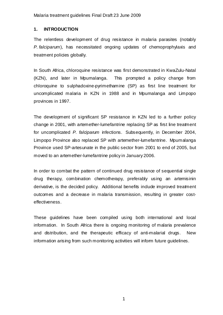## **1. INTRODUCTION**

The relentless development of drug resistance in malaria parasites (notably *P. falciparum*), has necessitated ongoing updates of chemoprophylaxis and treatment policies globally.

In South Africa, chloroquine resistance was first demonstrated in KwaZulu-Natal (KZN), and later in Mpumalanga. This prompted a policy change from chloroquine to sulphadoxine-pyrimethamine (SP) as first line treatment for uncomplicated malaria in KZN in 1988 and in Mpumalanga and Limpopo provinces in 1997.

The development of significant SP resistance in KZN led to a further policy change in 2001, with artemether-lumefantrine replacing SP as first line treatment for uncomplicated *P. falciparum* infections. Subsequently, in December 2004, Limpopo Province also replaced SP with artemether-lumefantrine. Mpumalanga Province used SP-artesunate in the public sector from 2001 to end of 2005, but moved to an artemether-lumefantrine policy in January 2006.

In order to combat the pattern of continued drug resistance of sequential single drug therapy, combination chemotherapy, preferably using an artemisinin derivative, is the decided policy. Additional benefits indude improved treatment outcomes and a decrease in malaria transmission, resulting in greater costeffectiveness.

These guidelines have been compiled using both international and local information. In South Africa there is ongoing monitoring of malaria prevalence and distribution, and the therapeutic efficacy of anti-malarial drugs. New information arising from such monitoring activities will inform future quidelines.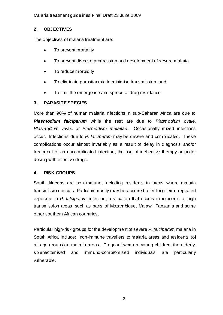# **2. OBJECTIVES**

The objectives of malaria treatment are:

- To prevent mortality
- To prevent disease progression and development of severe malaria
- To reduce morbidity
- To eliminate parasitaemia to minimise transmission, and
- To limit the emergence and spread of drug resistance

# **3. PARASITE SPECIES**

More than 90% of human malaria infections in sub-Saharan Africa are due to *Plasmodium falciparum* while the rest are due to *Plasmodium ovale, Plasmodium vivax,* or *Plasmodium malariae.* Occasionally mixed infections occur. Infections due to *P. falciparum* may be severe and complicated. These complications occur almost invariably as a result of delay in diagnosis and/or treatment of an uncomplicated infection, the use of ineffective therapy or under dosing with effective drugs.

# **4. RISK GROUPS**

South Africans are non-immune, including residents in areas where malaria transmission occurs. Partial immunity may be acquired after long-term, repeated exposure to *P. falciparum* infection, a situation that occurs in residents of high transmission areas, such as parts of Mozambique, Malawi, Tanzania and some other southern African countries.

Particular high-risk groups for the development of severe *P. falciparum* malaria in South Africa indude: non-immune travellers to malaria areas and residents (of all age groups) in malaria areas. Pregnant women, young children, the elderly, splenectomised and immuno-compromised individuals are particularly vulnerable.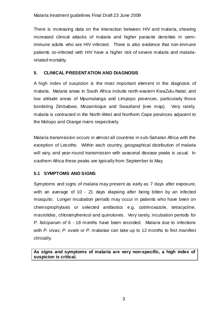There is increasing data on the interaction between HIV and malaria, showing increased clinical attacks of malaria and higher parasite densities in semiimmune adults who are HIV infected. There is also evidence that non-immune patients co-infected with HIV have a higher risk of severe malaria and malariarelated mortality.

# **5. CLINICAL PRESENTATION AND DIAGNOSIS**

A high index of suspicion is the most important element in the diagnosis of malaria. Malaria areas in South Africa indude north-eastern KwaZulu-Natal, and low altitude areas of Mpumalanga and Limpopo provinces, particularly those bordering Zimbabwe, Mozambique and Swaziland (see map). Very rarely, malaria is contracted in the North-West and Northem Cape provinces adjacent to the Molopo and Orange rivers respectively.

Malaria transmission occurs in almost all countries in sub-Saharan Africa with the exception of Lesotho. Within each country, geographical distribution of malaria will vary, and year-round transmission with seasonal disease peaks is usual. In southern Africa these peaks are typically from September to May.

# **5.1 SYMPTOMS AND SIGNS**

Symptoms and signs of malaria may present as early as 7 days after exposure, with an average of 10 - 21 days elapsing after being bitten by an infected mosquito. Longer incubation periods may occur in patients who have been on chemoprophylaxis or selected antibiotics e.g. cotrimoxazole, tetracycline, macrolides, chloramphenicol and quinolones. Very rarely, incubation periods for *P. falciparum* of 6 - 18 months have been recorded. Malaria due to infections with *P. vivax, P. ovale* or *P. malariae* can take up to 12 months to first manifest clinically.

**As signs and symptoms of malaria are very non-specific, a high index of suspicion is critical.**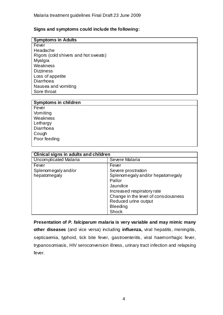## **Signs and symptoms could include the following:**

## **Symptoms in Adults**

Fever Headache Rigors (cold shivers and hot sweats) Myalgia **Weakness Dizziness** Loss of appetite **Diarrhoea** Nausea and vomiting Sore throat

| <b>Symptoms in children</b> |
|-----------------------------|
| Fever                       |
| Vomiting                    |
| Weakness                    |
| Lethargy                    |
| Diarrhoea                   |
| Cough                       |
| Poor feeding                |
|                             |

| Clinical signs in adults and children        |                                                                                                                                                             |  |  |
|----------------------------------------------|-------------------------------------------------------------------------------------------------------------------------------------------------------------|--|--|
| <b>Uncomplicated Malaria</b>                 | Severe Malaria                                                                                                                                              |  |  |
| Fever<br>Splenomegaly and/or<br>hepatomegaly | Fever<br>Severe prostration<br>Splenomegaly and/or hepatomegaly<br>Pallor<br>Jaundice<br>Increased respiratory rate<br>Change in the level of consciousness |  |  |
|                                              | Reduced urine output<br><b>Bleeding</b><br><b>Shock</b>                                                                                                     |  |  |

**Presentation of** *P. falciparum* **malaria is very variable and may mimic many other diseases** (and vice versa) including **influenza,** viral hepatitis, meningitis, septicaemia, typhoid, tick bite fever, gastroenteritis, viral haemorrhagic fever, trypanosomiasis, HIV seroconversion illness, urinary tract infection and relapsing fever.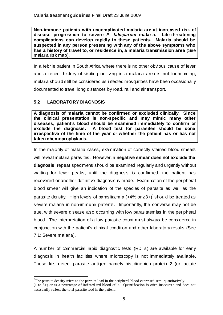**Non-immune patients with uncomplicated malaria are at increased risk of disease progression to severe** *P. falciparum* **malaria. Life-threatening complications can develop rapidly in these patients. Malaria should be suspected in any person presenting with any of the above symptoms who has a history of travel to, or residence in, a malaria transmission area** (See malaria risk map).

In a febrile patient in South Africa where there is no other obvious cause of fever and a recent history of visiting or living in a malaria area is not forthcoming, malaria should still be considered as infected mosquitoes have been occasionally documented to travel long distances by road, rail and air transport.

# **5.2 LABORATORY DIAGNOSIS**

j

**A diagnosis of malaria cannot be confirmed or excluded clinically. Since the clinical presentation is non-specific and may mimic many other diseases, patient's blood should be examined immediately to confirm or exclude the diagnosis. A blood test for parasites should be done irrespective of the time of the year or whether the patient has or has not taken chemoprophylaxis.**

In the majority of malaria cases, examination of correctly stained blood smears will reveal malaria parasites. However, a **negative smear does not exclude the diagnosis**; repeat specimens should be examined regularly and urgently without waiting for fever peaks, until the diagnosis is confirmed, the patient has recovered or another definitive diagnosis is made. Examination of the peripheral blood smear will give an indication of the species of parasite as well as the parasite density. High levels of parasitaemia (>4% or ≥3+)<sup>\*</sup> should be treated as severe malaria in non-immune patients. Importantly, the converse may not be true, with severe disease also occurring with low parasitaemias in the peripheral blood. The interpretation of a low parasite count must always be considered in conjunction with the patient's clinical condition and other laboratory results (See 7.1: Severe malaria).

A number of commercial rapid diagnostic tests (RDTs) are available for early diagnosis in health facilities where microscopy is not immediately available. These kits detect parasite antigen namely histidine-rich protein 2 (or lactate

<sup>\*</sup> The parasite density refers to the parasite load in the peripheral blood expressed semi-quantitatively (1 to 5+) or as a percentage of infected red blood cells. Quantification is often inaccurate and does not necessarily reflect the total parasite load in the patient.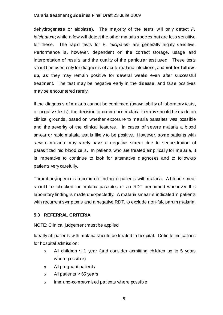dehydrogenase or aldolase). The majority of the tests will only detect *P. falciparum*; while a few will detect the other malaria species but are less sensitive for these. The rapid tests for P*. falciparum* are generally highly sensitive. Performance is, however, dependent on the correct storage, usage and interpretation of results and the quality of the particular test used. These tests should be used only for diagnosis of acute malaria infections, and **not for followup**, as they may remain positive for several weeks even after successful treatment. The test may be negative early in the disease, and false positives may be encountered rarely.

If the diagnosis of malaria cannot be confirmed (unavailability of laboratory tests, or negative tests), the decision to commence malaria therapy should be made on clinical grounds, based on whether exposure to malaria parasites was possible and the severity of the clinical features. In cases of severe malaria a blood smear or rapid malaria test is likely to be positive. However, some patients with severe malaria may rarely have a negative smear due to sequestration of parasitized red blood cells. In patients who are treated empirically for malaria, it is imperative to continue to look for alternative diagnoses and to follow-up patients very carefully.

Thrombocytopenia is a common finding in patients with malaria. A blood smear should be checked for malaria parasites or an RDT performed whenever this laboratory finding is made unexpectedly. A malaria smear is indicated in patients with recurrent symptoms and a negative RDT, to exclude non-falciparum malaria.

## **5.3 REFERRAL CRITERIA**

## NOTE: Clinical judgement must be applied

Ideally all patients with malaria should be treated in hospital. Definite indications for hospital admission:

- o All children ≤ 1 year (and consider admitting children up to 5 years where possible)
- o All pregnant patients
- o All patients ≥ 65 years
- o Immuno-compromised patients where possible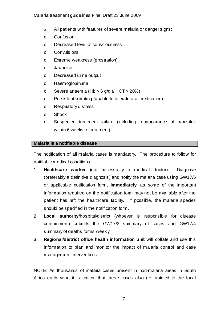- o All patients with features of severe malaria or danger signs:
- o Confusion
- o Decreased level of consciousness
- o Convulsions
- o Extreme weakness (prostration)
- o Jaundice
- o Decreased urine output
- o Haemoglobinuria
- o Severe anaemia (Hb ≤ 6 g/dl)/ HCT ≤ 20%)
- o Persistent vomiting (unable to tolerate oral medication)
- o Respiratory distress
- o Shock
- o Suspected treatment failure (including reappearance of parasites within 6 weeks of treatment).

## **Malaria is a notifiable disease**

The notification of all malaria cases is mandatory. The procedure to follow for notifiable medical conditions:

- 1. **Healthcare worker** (not necessarily a medical doctor): Diagnose (preferably a definitive diagnosis) and notify the malaria case using GW17/5 or applicable notification form, **immediately**, as some of the important information required on the notification form may not be available after the patient has left the healthcare facility. If possible, the malaria species should be specified in the notification form.
- 2. **Local authority**/hospital/district (whoever is responsible for disease containment) submits the GW17/3 summary of cases and GW17/4 summary of deaths forms weekly.
- 3. **Regional/district office health information unit** will collate and use this information to plan and monitor the impact of malaria control and case management interventions.

NOTE: As thousands of malaria cases present in non-malaria areas in South Africa each year, it is critical that these cases also get notified to the local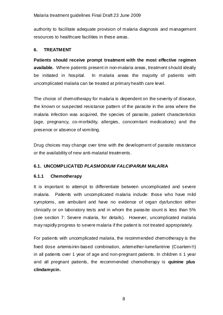authority to facilitate adequate provision of malaria diagnosis and management resources to healthcare facilities in these areas.

# **6. TREATMENT**

**Patients should receive prompt treatment with the most effective regimen available.** Where patients present in non-malaria areas, treatment should ideally be initiated in hospital. In malaria areas the majority of patients with uncomplicated malaria can be treated at primary health care level.

The choice of chemotherapy for malaria is dependent on the severity of disease, the known or suspected resistance pattern of the parasite in the area where the malaria infection was acquired, the species of parasite, patient characteristics (age, pregnancy, co-morbidity, allergies, concomitant medications) and the presence or absence of vomiting.

Drug choices may change over time with the development of parasite resistance or the availability of new anti-malarial treatments.

# **6.1. UNCOMPLICATED** *PLASMODIUM FALCIPARUM* **MALARIA**

# **6.1.1 Chemotherapy**

It is important to attempt to differentiate between uncomplicated and severe malaria. Patients with uncomplicated malaria indude: those who have mild symptoms, are ambulant and have no evidence of organ dysfunction either clinically or on laboratory tests and in whom the parasite count is less than 5% (see section 7: Severe malaria, for details). However, uncomplicated malaria may rapidly progress to severe malaria if the patient is not treated appropriately.

For patients with uncomplicated malaria, the recommended chemotherapy is the fixed dose artemisinin-based combination, artemether-lumefantrine (Coartem®) in all patients over 1 year of age and non-pregnant patients. In children ≤ 1 year and all pregnant patients, the recommended chemotherapy is **quinine plus clindamycin.**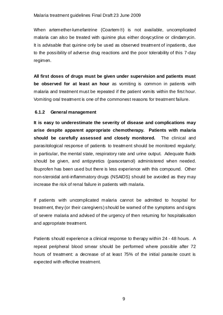When artemether-lumefantrine (Coartem®) is not available, uncomplicated malaria can also be treated with quinine plus either doxycycline or clindamycin. It is advisable that quinine only be used as observed treatment of inpatients, due to the possibility of adverse drug reactions and the poor tolerability of this 7-day regimen.

**All first doses of drugs must be given under supervision and patients must be observed for at least an hour** as vomiting is common in patients with malaria and treatment must be repeated if the patient vomits within the first hour. Vomiting oral treatment is one of the commonest reasons for treatment failure.

## **6.1.2 General management**

**It is easy to underestimate the severity of disease and complications may arise despite apparent appropriate chemotherapy. Patients with malaria should be carefully assessed and closely monitored.** The clinical and parasitological response of patients to treatment should be monitored regularly; in particular, the mental state, respiratory rate and urine output. Adequate fluids should be given, and antipyretics (paracetamol) administered when needed. Ibuprofen has been used but there is less experience with this compound. Other non-steroidal anti-inflammatory drugs (NSAIDS) should be avoided as they may increase the risk of renal failure in patients with malaria.

If patients with uncomplicated malaria cannot be admitted to hospital for treatment, they (or their caregivers) should be warned of the symptoms and signs of severe malaria and advised of the urgency of then returning for hospitalisation and appropriate treatment.

Patients should experience a clinical response to therapy within 24 - 48 hours. A repeat peripheral blood smear should be performed where possible after 72 hours of treatment: a decrease of at least 75% of the initial parasite count is expected with effective treatment.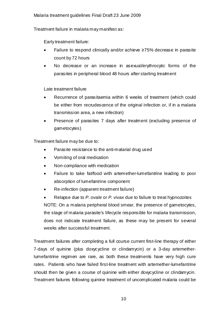Treatment failure in malaria may manifest as:

Early treatment failure:

- Failure to respond clinically and/or achieve  $\geq 75\%$  decrease in parasite count by 72 hours
- No decrease or an increase in asexual/erythrocytic forms of the parasites in peripheral blood 48 hours after starting treatment

Late treatment failure

- Recurrence of parasitaemia within 6 weeks of treatment (which could be either from recrudescence of the original infection or, if in a malaria transmission area, a new infection)
- Presence of parasites 7 days after treatment (excluding presence of gametocytes)

Treatment failure may be due to:

- Parasite resistance to the anti-malarial drug used
- Vomiting of oral medication
- Non-compliance with medication
- Failure to take fat/food with artemether-lumefantrine leading to poor absorption of lumefantrine component
- Re-infection (apparent treatment failure)

• Relapse due to *P. ovale* or *P. vivax* due to failure to treat hypnozoites NOTE: On a malaria peripheral blood smear, the presence of gametocytes, the stage of malaria parasite's lifecycle responsible for malaria transmission, does not indicate treatment failure, as these may be present for several weeks after successful treatment.

Treatment failures after completing a full course current first-line therapy of either 7-days of quinine (plus doxycycline or clindamycin) or a 3-day artemetherlumefantrine regimen are rare, as both these treatments have very high cure rates. Patients who have failed first-line treatment with artemether-lumefantrine should then be given a course of quinine with either doxycycline or clindamycin. Treatment failures following quinine treatment of uncomplicated malaria could be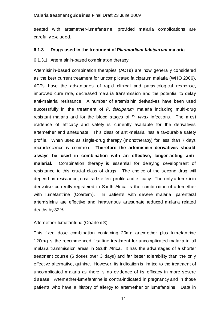treated with artemether-lumefantrine, provided malaria complications are carefully excluded.

#### **6.1.3 Drugs used in the treatment of P***lasmodium falciparum* **malaria**

## 6.1.3.1 Artemisinin-based combination therapy

Artemisinin-based combination therapies (ACTs) are now generally considered as the best current treatment for uncomplicated falciparum malaria (WHO 2006). ACTs have the advantages of rapid clinical and parasitological response, improved cure rate, decreased malaria transmission and the potential to delay anti-malarial resistance. A number of artemisinin derivatives have been used successfully in the treatment of *P. falciparum* malaria including multi-drug resistant malaria and for the blood stages of *P. vivax* infections. The most evidence of efficacy and safety is currently available for the derivatives artemether and artesunate. This class of anti-malarial has a favourable safety profile*.* When used as single-drug therapy (monotherapy) for less than 7 days recrudescence is common. **Therefore the artemisinin derivatives should always be used in combination with an effective, longer-acting antimalarial.** Combination therapy is essential for delaying development of resistance to this crucial class of drugs. The choice of the second drug will depend on resistance, cost, side effect profile and efficacy. The only artemisinin derivative currently registered in South Africa is the combination of artemether with lumefantrine (Coartem). In patients with severe malaria, parenteral artemisinins are effective and intravenous artesunate reduced malaria related deaths by 32%.

## Artemether-lumefantrine (Coartem®)

This fixed dose combination containing 20mg artemether plus lumefantrine 120mg is the recommended first line treatment for uncomplicated malaria in all malaria transmission areas in South Africa. It has the advantages of a shorter treatment course (6 doses over 3 days) and far better tolerability than the only effective alternative, quinine. However, its indication is limited to the treatment of uncomplicated malaria as there is no evidence of its efficacy in more severe disease. Artemether-lumefantrine is contra-indicated in pregnancy and in those patients who have a history of allergy to artemether or lumefantrine. Data in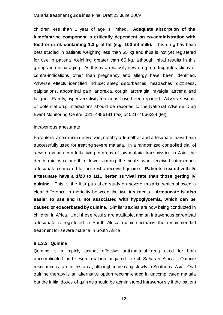children less than 1 year of age is limited. **Adequate absorption of the lumefantrine component is critically dependent on co-administration with food or drink containing 1.3 g of fat (e.g. 100 ml milk).** This drug has been best studied in patients weighing less than 65 kg and thus is not yet registered for use in patients weighing greater than 65 kg, although initial results in this group are encouraging. As this is a relatively new drug, no drug interactions or contra-indications other than pregnancy and allergy have been identified. Adverse effects identified include: sleep disturbances, headaches, dizziness, palpitations, abdominal pain, anorexia, cough, arthralgia, myalgia, asthma and fatigue. Rarely, hypersensitivity reactions have been reported. Adverse events or potential drug interactions should be reported to the National Adverse Drug Event Monitoring Centre [021- 4486181 (fax) or 021- 4066234 (tel)].

#### Intravenous artesunate

Parenteral artemisinin derivatives, notably artemether and artesunate, have been successfully used for treating severe malaria. In a randomized controlled trial of severe malaria in adults living in areas of low malaria transmission in Asia, the death rate was one-third lower among the adults who received intravenous artesunate compared to those who received quinine. **Patients treated with IV artesunate have a 1/20 to 1/11 better survival rate than those getting IV quinine.** This is the first published study on severe malaria, which showed a clear difference in mortality between the two treatments. **Artesunate is also easier to use and is not associated with hypoglycemia, which can be caused or exacerbated by quinine.** Similar studies are now being conducted in children in Africa. Until these results are available, and an intravenous parenteral artesunate is registered in South Africa, quinine remains the recommended treatment for severe malaria in South Africa.

## **6.1.3.2 Quinine**

Quinine is a rapidly acting, effective anti-malarial drug used for both uncomplicated and severe malaria acquired in sub-Saharan Africa. Quinine resistance is rare in this area, although increasing slowly in Southeast Asia. Oral quinine therapy is an alternative option recommended in uncomplicated malaria but the initial doses of quinine should be administered intravenously if the patient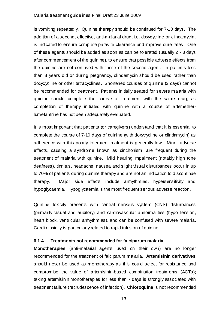is vomiting repeatedly. Quinine therapy should be continued for 7-10 days. The addition of a second, effective, anti-malarial drug, i.e. doxycycline or clindamycin, is indicated to ensure complete parasite clearance and improve cure rates. One of these agents should be added as soon as can be tolerated (usually 2 - 3 days after commencement of the quinine), to ensure that possible adverse effects from the quinine are not confused with those of the second agent. In patients less than 8 years old or during pregnancy, clindamycin should be used rather than doxycycline or other tetracyclines. Shortened courses of quinine (3 days) cannot be recommended for treatment. Patients initially treated for severe malaria with quinine should complete the course of treatment with the same drug, as completion of therapy initiated with quinine with a course of artemetherlumefantrine has not been adequately evaluated.

It is most important that patients (or caregivers) understand that it is essential to complete the course of 7-10 days of quinine (with doxycycline or clindamycin) as adherence with this poorly tolerated treatment is generally low. Minor adverse effects, causing a syndrome known as cinchonism, are frequent during the treatment of malaria with quinine. Mild hearing impairment (notably high tone deafness), tinnitus, headache, nausea and slight visual disturbances occur in up to 70% of patients during quinine therapy and are not an indication to discontinue therapy. Major side effects include arrhythmias, hypersensitivity and hypoglycaemia. Hypoglycaemia is the most frequent serious adverse reaction.

Quinine toxicity presents with central nervous system (CNS) disturbances (primarily visual and auditory) and cardiovascular abnormalities (hypo tension, heart block, ventricular arrhythmias), and can be confused with severe malaria. Cardio toxicity is particularly related to rapid infusion of quinine.

## **6.1.4 Treatments not recommended for falciparum malaria**

**Monotherapies** (anti-malarial agents used on their own) are no longer recommended for the treatment of falciparum malaria. **Artemisinin derivatives** should never be used as monotherapy as this could select for resistance and compromise the value of artemisinin-based combination treatments (ACTs); taking artemisinin monotherapies for less than 7 days is strongly associated with treatment failure (recrudescence of infection). **Chloroquine** is not recommended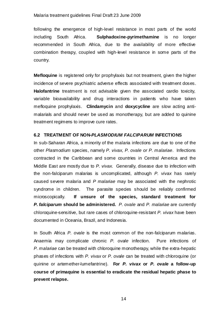following the emergence of high-level resistance in most parts of the world including South Africa. **Sulphadoxine-pyrimethamine** is no longer recommended in South Africa, due to the availability of more effective combination therapy, coupled with high-level resistance in some parts of the country.

**Mefloquine** is registered only for prophylaxis but not treatment, given the higher incidence of severe psychiatric adverse effects associated with treatment doses. **Halofantrine** treatment is not advisable given the associated cardio toxicity, variable bioavailability and drug interactions in patients who have taken mefloquine prophylaxis. **Clindamycin** and **doxycycline** are slow acting antimalarials and should never be used as monotherapy, but are added to quinine treatment regimens to improve cure rates.

## **6.2 TREATMENT OF NON-***PLASMODIUM FALCIPARUM* **INFECTIONS**

In sub-Saharan Africa, a minority of the malaria infections are due to one of the other *Plasmodium* species, namely *P. vivax, P. ovale or P. malariae*. Infections contracted in the Caribbean and some countries in Central America and the Middle East are mostly due to *P. vivax.* Generally, disease due to infection with the non-falciparum malarias is uncomplicated, although *P. vivax* has rarely caused severe malaria and *P malariae* may be associated with the nephrotic syndrome in children. The parasite species should be reliably confirmed microscopically. **If unsure of the species, standard treatment for**  *P. falciparum* **should be administered.** *P. ovale* and *P. malariae* are currently chloroquine-sensitive, but rare cases of chloroquine-resistant *P. vivax* have been documented in Oceania, Brazil, and Indonesia.

In South Africa *P. ovale* is the most common of the non-falciparum malarias. Anaemia may complicate chronic *P. ovale* infection. Pure infections of *P. malariae* can be treated with chloroquine monotherapy, while the extra-hepatic phases of infections with *P. vivax* or *P. ovale* can be treated with chloroquine (or quinine or artemether-lumefantrine). **For** *P. vivax* **or** *P. ovale* **a follow-up course of primaquine is essential to eradicate the residual hepatic phase to prevent relapse.** 

 $\sim$  14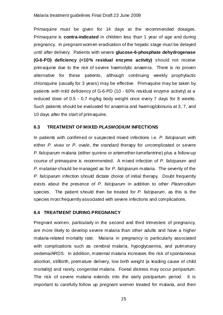Primaquine must be given for 14 days at the recommended dosages. Primaquine is **contra-indicated** in children less than 1 year of age and during pregnancy. In pregnant women eradication of the hepatic stage must be delayed until after delivery. Patients with severe **glucose-6-phosphate dehydrogenase (G-6-PD) deficiency (<10% residual enzyme activity)** should not receive primaquine due to the risk of severe haemolytic anaemia. There is no proven alternative for these patients, although continuing weekly prophylactic chloroquine (usually for 3 years) may be effective*.* Primaquine may be taken by patients with mild deficiency of G-6-PD (10 - 60% residual enzyme activity) at a reduced dose of 0.5 - 0.7 mg/kg body weight once every 7 days for 8 weeks. Such patients should be evaluated for anaemia and haemoglobinuria at 3, 7, and 10 days after the start of primaquine.

# **6.3 TREATMENT OF MIXED** *PLASMODIUM* **INFECTIONS**

In patients with confirmed or suspected mixed infections i.e. *P. falciparum* with either *P. vivax or P. ovale*, the standard therapy for uncomplicated or severe *P. falciparum* malaria (either quinine or artemether-lumefantrine) plus a follow-up course of primaquine is recommended. A mixed infection of *P. falciparum* and *P. malariae* should be managed as for *P. falciparum* malaria. The severity of the *P. falciparum* infection should dictate choice of initial therapy. Doubt frequently exists about the presence of *P. falciparum* in addition to other *Plasmodium* species. The patient should then be treated for *P. falciparum,* as this is the species most frequently associated with severe infections and complications.

# **6.4 TREATMENT DURING PREGNANCY**

Pregnant women, particularly in the second and third trimesters of pregnancy, are more likely to develop severe malaria than other adults and have a higher malaria-related mortality rate. Malaria in pregnancy is particularly associated with complications such as cerebral malaria, hypoglycaemia, and pulmonary oedema/ARDS. In addition, maternal malaria increases the risk of spontaneous abortion, stillbirth, premature delivery, low birth weight (a leading cause of child mortality) and rarely, congenital malaria. Foetal distress may occur peripartum. The risk of severe malaria extends into the early postpartum period. It is important to carefully follow up pregnant women treated for malaria, and their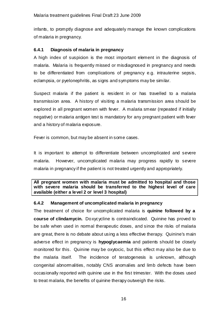infants, to promptly diagnose and adequately manage the known complications of malaria in pregnancy.

## **6.4.1 Diagnosis of malaria in pregnancy**

A high index of suspicion is the most important element in the diagnosis of malaria. Malaria is frequently missed or misdiagnosed in pregnancy and needs to be differentiated from complications of pregnancy e.g. intrauterine sepsis, eclampsia, or pyelonephritis, as signs and symptoms may be similar.

Suspect malaria if the patient is resident in or has travelled to a malaria transmission area. A history of visiting a malaria transmission area should be explored in all pregnant women with fever. A malaria smear (repeated if initially negative) or malaria antigen test is mandatory for any pregnant patient with fever and a history of malaria exposure.

Fever is common, but may be absent in some cases.

It is important to attempt to differentiate between uncomplicated and severe malaria. However, uncomplicated malaria may progress rapidly to severe malaria in pregnancy if the patient is not treated urgently and appropriately.

**All pregnant women with malaria must be admitted to hospital and those with severe malaria should be transferred to the highest level of care available (either a level 2 or level 3 hospital)** 

## **6.4.2 Management of uncomplicated malaria in pregnancy**

The treatment of choice for uncomplicated malaria is **quinine followed by a course of clindamycin.** Doxycycline is contraindicated. Quinine has proved to be safe when used in normal therapeutic doses, and since the risks of malaria are great, there is no debate about using a less effective therapy. Quinine's main adverse effect in pregnancy is **hypoglycaemia** and patients should be closely monitored for this. Quinine may be oxytocic, but this effect may also be due to the malaria itself. The incidence of teratogenesis is unknown, although congenital abnormalities, notably CNS anomalies and limb defects have been occasionally reported with quinine use in the first trimester. With the doses used to treat malaria, the benefits of quinine therapy outweigh the risks.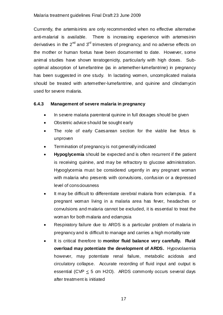Currently, the artemisinins are only recommended when no effective alternative anti-malarial is available. There is increasing experience with artemesinin derivatives in the  $2<sup>nd</sup>$  and  $3<sup>rd</sup>$  trimesters of pregnancy, and no adverse effects on the mother or human foetus have been documented to date. However, some animal studies have shown teratogenicity, particularly with high doses. Suboptimal absorption of lumefantrine (as in artemether-lumefantrine) in pregnancy has been suggested in one study. In lactating women, uncomplicated malaria should be treated with artemether-lumefantrine, and quinine and clindamycin used for severe malaria.

# **6.4.3 Management of severe malaria in pregnancy**

- In severe malaria parenteral quinine in full dosages should be given
- Obstetric advice should be sought early
- The role of early Caesarean section for the viable live fetus is unproven
- Termination of pregnancy is not generally indicated
- **Hypoglycemia** should be expected and is often recurrent if the patient is receiving quinine, and may be refractory to glucose administration. Hypoglycemia must be considered urgently in any pregnant woman with malaria who presents with convulsions, confusion or a depressed level of consciousness
- It may be difficult to differentiate cerebral malaria from eclampsia. If a pregnant woman living in a malaria area has fever, headaches or convulsions and malaria cannot be excluded, it is essential to treat the woman for both malaria and edampsia
- Respiratory failure due to ARDS is a particular problem of malaria in pregnancy and is difficult to manage and carries a high mortality rate
- It is critical therefore to **monitor fluid balance very carefully. Fluid overload may potentiate the development of ARDS.** Hypovolaemia however, may potentiate renal failure, metabolic acidosis and circulatory collapse. Accurate recording of fluid input and output is essential (CVP  $\leq$  5 cm H2O). ARDS commonly occurs several days after treatment is initiated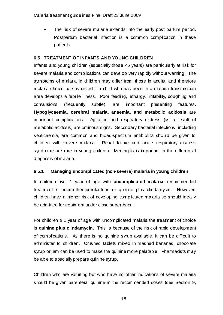• The risk of severe malaria extends into the early post partum period. Postpartum bacterial infection is a common complication in these patients

## **6.5 TREATMENT OF INFANTS AND YOUNG CHILDREN**

Infants and young children (especially those <5 years) are particularly at risk for severe malaria and complications can develop very rapidly without warning. The symptoms of malaria in children may differ from those in adults, and therefore malaria should be suspected if a child who has been in a malaria transmission area develops a febrile illness. Poor feeding, lethargy, irritability, coughing and convulsions (frequently subtle), are important presenting features. **Hypoglycaemia, cerebral malaria, anaemia, and metabolic acidosis** are important complications. Agitation and respiratory distress (as a result of metabolic acidosis) are ominous signs. Secondary bacterial infections, including septicaemia, are common and broad-spectrum antibiotics should be given to children with severe malaria. Renal failure and acute respiratory distress syndrome are rare in young children. Meningitis is important in the differential diagnosis of malaria.

# **6.5.1 Managing uncomplicated (non-severe) malaria in young children**

In children over 1 year of age with **uncomplicated malaria,** recommended treatment is artemether-lumefantrine or quinine plus clindamycin. However, children have a higher risk of developing complicated malaria so should ideally be admitted for treatment under close supervision.

For children  $\leq 1$  year of age with uncomplicated malaria the treatment of choice is **quinine plus clindamycin.** This is because of the risk of rapid development of complications. As there is no quinine syrup available, it can be difficult to administer to children. Crushed tablets mixed in mashed bananas, chocolate syrup or jam can be used to make the quinine more palatable. Pharmacists may be able to specially prepare quinine syrup.

Children who are vomiting but who have no other indications of severe malaria should be given parenteral quinine in the recommended doses (see Section 9,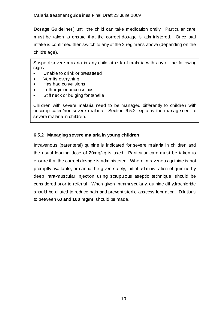Dosage Guidelines) until the child can take medication orally. Particular care must be taken to ensure that the correct dosage is administered. Once oral intake is confirmed then switch to any of the 2 regimens above (depending on the child's age).

Suspect severe malaria in any child at risk of malaria with any of the following signs:

- Unable to drink or breastfeed
- Vomits everything
- Has had convulsions
- Lethargic or unconscious
- Stiff neck or bulging fontanelle

Children with severe malaria need to be managed differently to children with uncomplicated/non-severe malaria. Section 6.5.2 explains the management of severe malaria in children.

# **6.5.2 Managing severe malaria in young children**

Intravenous (parenteral) quinine is indicated for severe malaria in children and the usual loading dose of 20mg/kg is used. Particular care must be taken to ensure that the correct dosage is administered. Where intravenous quinine is not promptly available, or cannot be given safely, initial administration of quinine by deep intra-muscular injection using scrupulous aseptic technique, should be considered prior to referral. When given intramuscularly, quinine dihydrochloride should be diluted to reduce pain and prevent sterile abscess formation. Dilutions to between **60 and 100 mg/ml** should be made.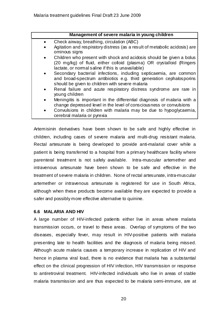| Management of severe malaria in young children                                                                                                                                                                |  |  |
|---------------------------------------------------------------------------------------------------------------------------------------------------------------------------------------------------------------|--|--|
| Check airway, breathing, circulation (ABC)<br>$\bullet$                                                                                                                                                       |  |  |
| Agitation and respiratory distress (as a result of metabolic acidosis) are<br>$\bullet$<br>ominous signs                                                                                                      |  |  |
| Children who present with shock and acidosis should be given a bolus<br>$\bullet$<br>(20 mg/kg) of fluid, either colloid (plasma) OR crystalloid (Ringers<br>lactate, or nomal saline if this is unavailable) |  |  |
| Secondary bacterial infections, induding septicaemia, are common<br>$\bullet$<br>and broad-spectrum antibiotics e.g. third generation cephalosporins<br>should be given to children with severe malaria       |  |  |
| Renal failure and acute respiratory distress syndrome are rare in<br>$\bullet$<br>young children                                                                                                              |  |  |
| Meningitis is important in the differential diagnosis of malaria with a<br>$\bullet$<br>change depressed level in the level of consciousness or convulsions                                                   |  |  |
| Convulsions in children with malaria may be due to hypoglycaemia,<br>$\bullet$<br>cerebral malaria or pyrexia                                                                                                 |  |  |

Artemisinin derivatives have been shown to be safe and highly effective in children, including cases of severe malaria and multi-drug resistant malaria. Rectal artesunate is being developed to provide anti-malarial cover while a patient is being transferred to a hospital from a primary healthcare facility where parenteral treatment is not safely available. Intra-muscular artemether and intravenous artesunate have been shown to be safe and effective in the treatment of severe malaria in children. None of rectal artesunate, intra-muscular artemether or intravenous artesunate is registered for use in South Africa, although when these products become available they are expected to provide a safer and possibly more effective alternative to quinine.

# **6.6 MALARIA AND HIV**

A large number of HIV-infected patients either live in areas where malaria transmission occurs, or travel to these areas. Overlap of symptoms of the two diseases, especially fever, may result in HIV-positive patients with malaria presenting late to health facilities and the diagnosis of malaria being missed. Although acute malaria causes a temporary increase in replication of HIV and hence in plasma viral load, there is no evidence that malaria has a substantial effect on the clinical progression of HIV infection, HIV transmission or response to antiretroviral treatment. HIV-infected individuals who live in areas of stable malaria transmission and are thus expected to be malaria semi-immune, are at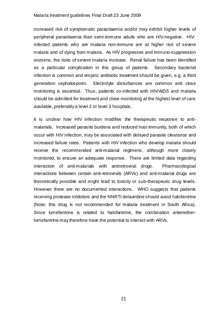increased risk of symptomatic parasitaemia and/or may exhibit higher levels of peripheral parasitaemia than semi-immune adults who are HIV-negative. HIVinfected patients who are malaria non-immune are at higher risk of severe malaria and of dying from malaria. As HIV progresses and immuno-suppression worsens, the risks of severe malaria increase. Renal failure has been identified as a particular complication in this group of patients. Secondary bacterial infection is common and empiric antibiotic treatment should be given, e.g. a third generation cephalosporin. Electrolyte disturbances are common and close monitoring is essential. Thus, patients co-infected with HIV/AIDS and malaria should be admitted for treatment and close monitoring at the highest level of care available, preferably a level 2 or level 3 hospitals.

It is undear how HIV infection modifies the therapeutic response to antimalarials. Increased parasite burdens and reduced host immunity, both of which occur with HIV infection, may be associated with delayed parasite clearance and increased failure rates. Patients with HIV infection who develop malaria should receive the recommended anti-malarial regimens, although more closely monitored, to ensure an adequate response. There are limited data regarding interaction of anti-malarials with antiretroviral drugs. Pharmacological interactions between certain anti-retrovirals (ARVs) and anti-malarial drugs are theoretically possible and might lead to toxicity or sub-therapeutic drug levels. However there are no documented interactions. WHO suggests that patients receiving protease inhibitors and the NNRTI delavirdine should avoid halofantrine (Note: this drug is not recommended for malaria treatment in South Africa). Since lumefantrine is related to halofantrine, the combination artemetherlumefantrine may therefore have the potential to interact with ARVs.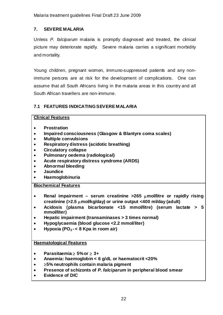# **7. SEVERE MALARIA**

Unless *P. falciparum* malaria is promptly diagnosed and treated, the clinical picture may deteriorate rapidly. Severe malaria carries a significant morbidity and mortality.

Young children, pregnant women, immuno-suppressed patients and any nonimmune persons are at risk for the development of complications. One can assume that all South Africans living in the malaria areas in this country and all South African travellers are non-immune.

# **7.1 FEATURES INDICATING SEVERE MALARIA**

# **Clinical Features**

- **Prostration**
- **Impaired consciousness (Glasgow & Blantyre coma scales)**
- **Multiple convulsions**
- **Respiratory distress (acidotic breathing)**
- **Circulatory collapse**
- **Pulmonary oedema (radiological)**
- **Acute respiratory distress syndrome (ARDS)**
- **Abnormal bleeding**
- **Jaundice**
- **Haemoglobinuria**

## **Biochemical Features**

- **Renal impairment serum creatinine >265** µ**mol/litre or rapidly rising creatinine (>2.5** µ**mol/kg/day) or urine output <400 ml/day (adult)**
- **Acidosis (plasma bicarbonate <15 mmol/litre) (serum lactate > 5 mmol/liter)**
- **Hepatic impairment (transaminases > 3 times normal)**
- **Hypoglycaemia (blood glucose <2.2 mmol/liter)**
- Hypoxia (PO<sub>2</sub> < 8 Kpa in room air)

## **Haematological Features**

- **Parasitaemia** ≥ **5% or** ≥ **3+**
- **Anaemia: haemoglobin < 6 g/dL or haematocrit <20%**
- ≥**5% neutrophils contain malaria pigment**
- **Presence of schizonts of** *P. falciparum* **in peripheral blood smear**
- **Evidence of DIC**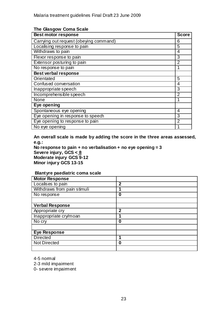| <b>Best motor response</b>             | <b>Score</b>   |
|----------------------------------------|----------------|
| Carrying out request (obeying command) | 6              |
| Localising response to pain            | 5              |
| Withdraws to pain                      | 4              |
| Flexor response to pain                | 3              |
| Extensor posturing to pain             | $\overline{2}$ |
| No response to pain                    |                |
| <b>Best verbal response</b>            |                |
| Orientated                             | 5              |
| Confused conversation                  | 4              |
| Inappropriate speech                   | 3              |
| Incomprehensible speech                | $\overline{2}$ |
| None                                   | 1              |
| Eye opening                            |                |
| Spontaneous eye opening                | 4              |
| Eye opening in response to speech      | 3              |
| Eye opening to response to pain        | $\overline{2}$ |
| No eye opening                         |                |

#### **The Glasgow Coma Scale**

**An overall scale is made by adding the score in the three areas assessed, e.g.:** 

**No response to pain + no verbalisation + no eye opening = 3 Severe injury, GCS < 8 Moderate injury GCS 9-12 Minor injury GCS 13-15** 

## **Blantyre paediatric coma scale**

| <b>Motor Response</b>       |             |  |
|-----------------------------|-------------|--|
| Localises to pain           | $\mathbf 2$ |  |
| Withdraws from pain stimuli |             |  |
| No response                 | 0           |  |
|                             |             |  |
| <b>Verbal Response</b>      |             |  |
| Appropriate cry             | $\mathbf 2$ |  |
| Inappropriate cry/moan      | 1           |  |
| No cry                      | 0           |  |
|                             |             |  |
| <b>Eye Response</b>         |             |  |
| <b>Directed</b>             |             |  |
| <b>Not Directed</b>         | 0           |  |
|                             |             |  |

4-5 normal

2-3 mild impairment

0- severe impaiment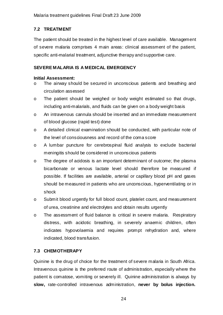# **7.2 TREATMENT**

The patient should be treated in the highest level of care available. Management of severe malaria comprises 4 main areas: clinical assessment of the patient, specific anti-malarial treatment, adjunctive therapy and supportive care.

# **SEVERE MALARIA IS A MEDICAL EMERGENCY**

# **Initial Assessment:**

- o The airway should be secured in unconscious patients and breathing and circulation assessed
- o The patient should be weighed or body weight estimated so that drugs, including anti-malarials, and fluids can be given on a body weight basis
- o An intravenous cannula should be inserted and an immediate measurement of blood glucose (rapid test) done
- o A detailed clinical examination should be conducted, with particular note of the level of consciousness and record of the coma score
- o A lumbar puncture for cerebrospinal fluid analysis to exclude bacterial meningitis should be considered in unconscious patients
- o The degree of acidosis is an important determinant of outcome; the plasma bicarbonate or venous lactate level should therefore be measured if possible. If facilities are available, arterial or capillary blood pH and gases should be measured in patients who are unconscious, hyperventilating or in shock
- o Submit blood urgently for full blood count, platelet count, and measurement of urea, creatinine and electrolytes and obtain results urgently
- o The assessment of fluid balance is critical in severe malaria. Respiratory distress, with acidotic breathing, in severely anaemic children, often indicates hypovolaemia and requires prompt rehydration and, where indicated, blood transfusion.

# **7.3 CHEMOTHERAPY**

Quinine is the drug of choice for the treatment of severe malaria in South Africa. Intravenous quinine is the preferred route of administration, especially where the patient is comatose, vomiting or severely ill. Quinine administration is always by **slow,** rate-controlled intravenous administration, **never by bolus injection.**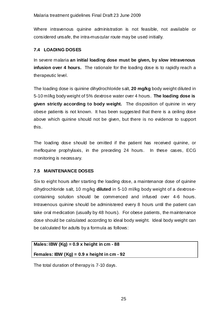Where intravenous quinine administration is not feasible, not available or considered unsafe, the intra-muscular route may be used initially.

# **7.4 LOADING DOSES**

In severe malaria **an initial loading dose must be given, by slow intravenous infusion over 4 hours.** The rationale for the loading dose is to rapidly reach a therapeutic level.

The loading dose is quinine dihydrochloride salt, **20 mg/kg** body weight diluted in 5-10 ml/kg body weight of 5% dextrose water over 4 hours. **The loading dose is given strictly according to body weight.** The disposition of quinine in very obese patients is not known. It has been suggested that there is a ceiling dose above which quinine should not be given, but there is no evidence to support this.

The loading dose should be omitted if the patient has received quinine, or mefloquine prophylaxis, in the preceding 24 hours. In these cases, ECG monitoring is necessary.

# **7.5 MAINTENANCE DOSES**

Six to eight hours after starting the loading dose, a maintenance dose of quinine dihydrochloride salt, 10 mg/kg **diluted** in 5-10 ml/kg body weight of a dextrosecontaining solution should be commenced and infused over 4-6 hours. Intravenous quinine should be administered every 8 hours until the patient can take oral medication (usually by 48 hours). For obese patients, the maintenance dose should be calculated according to ideal body weight. Ideal body weight can be calculated for adults by a formula as follows:

# **Males: IBW (Kg) = 0.9 x height in cm - 88**

# **Females: IBW (Kg) = 0.9 x height in cm - 92**

The total duration of therapy is 7-10 days.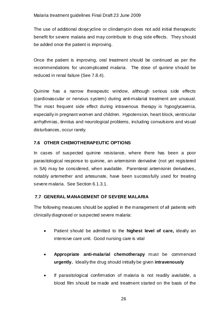The use of additional doxycycline or clindamycin does not add initial therapeutic benefit for severe malaria and may contribute to drug side effects. They should be added once the patient is improving.

Once the patient is improving, oral treatment should be continued as per the recommendations for uncomplicated malaria. The dose of quinine should be reduced in renal failure (See 7.8.4).

Quinine has a narrow therapeutic window, although serious side effects (cardiovascular or nervous system) during anti-malarial treatment are unusual. The most frequent side effect during intravenous therapy is hypoglycaemia, especially in pregnant women and children. Hypotension, heart block, ventricular arrhythmias, tinnitus and neurological problems, including convulsions and visual disturbances, occur rarely.

# **7.6 OTHER CHEMOTHERAPEUTIC OPTIONS**

In cases of suspected quinine resistance, where there has been a poor parasitological response to quinine, an artemisinin derivative (not yet registered in SA) may be considered, when available. Parenteral artemisinin derivatives, notably artemether and artesunate, have been successfully used for treating severe malaria. See Section 6.1.3.1.

# **7.7 GENERAL MANAGEMENT OF SEVERE MALARIA**

The following measures should be applied in the management of all patients with clinically diagnosed or suspected severe malaria:

- Patient should be admitted to the **highest level of care,** ideally an intensive care unit. Good nursing care is vital
- **Appropriate anti-malarial chemotherapy** must be commenced **urgently.** Ideally the drug should initially be given **intravenously**
- If parasitological confirmation of malaria is not readily available, a blood film should be made and treatment started on the basis of the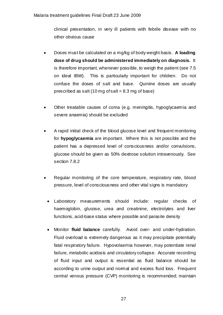clinical presentation, in very ill patients with febrile disease with no other obvious cause

- Doses must be calculated on a mg/kg of body weight basis. **A loading dose of drug should be administered immediately on diagnosis.** It is therefore important, whenever possible, to weigh the patient (see 7.5 on ideal IBW). This is particularly important for children. Do not confuse the doses of salt and base. Quinine doses are usually prescribed as salt  $(10 \text{ mg of salt} = 8.3 \text{ mg of base})$
- Other treatable causes of coma (e.g. meningitis, hypoglycaemia and severe anaemia) should be excluded
- A rapid initial check of the blood glucose level and frequent monitoring for **hypoglycaemia** are important. Where this is not possible and the patient has a depressed level of consciousness and/or convulsions, glucose should be given as 50% dextrose solution intravenously. See section 7.8.2
- Regular monitoring of the core temperature, respiratory rate, blood pressure, level of consciousness and other vital signs is mandatory
	- Laboratory measurements should include: regular checks of haemoglobin, glucose, urea and creatinine, electrolytes and liver functions, acid-base status where possible and parasite density
	- Monitor **fluid balance** carefully. Avoid over- and under-hydration. Fluid overload is extremely dangerous as it may precipitate potentially fatal respiratory failure. Hypovolaemia however, may potentiate renal failure, metabolic acidosis and circulatory collapse. Accurate recording of fluid input and output is essential as fluid balance should be according to urine output and normal and excess fluid loss. Frequent central venous pressure (CVP) monitoring is recommended; maintain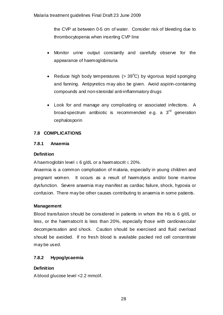the CVP at between 0-5 cm of water. Consider risk of bleeding due to thrombocytopenia when inserting CVP line

- Monitor urine output constantly and carefully observe for the appearance of haemoglobinuria
- Reduce high body temperatures  $(> 39^{\circ}C)$  by vigorous tepid sponging and fanning. Antipyretics may also be given. Avoid aspirin-containing compounds and non-steroidal anti-inflammatory drugs
- Look for and manage any complicating or associated infections. A broad-spectrum antibiotic is recommended e.g. a  $3<sup>rd</sup>$  generation cephalosporin

# **7.8 COMPLICATIONS**

# **7.8.1 Anaemia**

# **Definition**

A haemoglobin level  $\leq 6$  g/dL or a haematocrit  $\leq 20\%$ .

Anaemia is a common complication of malaria, especially in young children and pregnant women. It occurs as a result of haemolysis and/or bone marrow dysfunction. Severe anaemia may manifest as cardiac failure, shock, hypoxia or confusion. There may be other causes contributing to anaemia in some patients.

# **Management**

Blood transfusion should be considered in patients in whom the Hb is 6 g/dL or less, or the haematocrit is less than 20%, especially those with cardiovascular decompensation and shock. Caution should be exercised and fluid overload should be avoided. If no fresh blood is available packed red cell concentrate may be used.

# **7.8.2 Hypoglycaemia**

# **Definition**

A blood glucose level <2.2 mmol/l.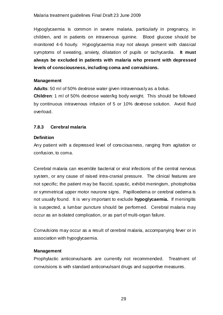Hypoglycaemia is common in severe malaria, particularly in pregnancy, in children, and in patients on intravenous quinine. Blood glucose should be monitored 4-6 hourly. Hypoglycaemia may not always present with classical symptoms of sweating, anxiety, dilatation of pupils or tachycardia. **It must always be excluded in patients with malaria who present with depressed levels of consciousness, including coma and convulsions.** 

## **Management**

**Adults**: 50 ml of 50% dextrose water given intravenously as a bolus.

**Children**: 1 ml of 50% dextrose water/kg body weight. This should be followed by continuous intravenous infusion of 5 or 10% dextrose solution. Avoid fluid overload.

# **7.8.3 Cerebral malaria**

## **Definition**

Any patient with a depressed level of consciousness, ranging from agitation or confusion, to coma.

Cerebral malaria can resemble bacterial or viral infections of the central nervous system, or any cause of raised intra-cranial pressure. The clinical features are not specific; the patient may be flaccid, spastic, exhibit meningism, photophobia or symmetrical upper motor neurone signs. Papilloedema or cerebral oedema is not usually found. It is very important to exclude **hypoglycaemia.** If meningitis is suspected, a lumbar puncture should be performed. Cerebral malaria may occur as an isolated complication, or as part of multi-organ failure.

Convulsions may occur as a result of cerebral malaria, accompanying fever or in association with hypoglycaemia.

# **Management**

Prophylactic anticonvulsants are currently not recommended. Treatment of convulsions is with standard anticonvulsant drugs and supportive measures.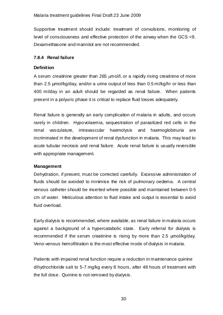Supportive treatment should include: treatment of convulsions, monitoring of level of consciousness and effective protection of the airway when the GCS <9. Dexamethasone and mannitol are not recommended.

# **7.8.4 Renal failure**

# **Definition**

A serum creatinine greater than 265 µmol/l, or a rapidly rising creatinine of more than 2.5 µmol/kg/day, and/or a urine output of less than 0.5 ml/kg/hr or less than 400 ml/day in an adult should be regarded as renal failure. When patients present in a polyuric phase it is critical to replace fluid losses adequately.

Renal failure is generally an early complication of malaria in adults, and occurs rarely in children. Hypovolaemia, sequestration of parasitized red cells in the renal vasculature, intravascular haemolysis and haemoglobinuria are incriminated in the development of renal dysfunction in malaria. This may lead to acute tubular necrosis and renal failure. Acute renal failure is usually reversible with appropriate management.

# **Management**

Dehydration, if present, must be corrected carefully. Excessive administration of fluids should be avoided to minimise the risk of pulmonary oedema. A central venous catheter should be inserted where possible and maintained between 0-5 cm of water. Meticulous attention to fluid intake and output is essential to avoid fluid overload.

Early dialysis is recommended, where available, as renal failure in malaria occurs against a background of a hypercatabolic state. Early referral for dialysis is recommended if the serum creatinine is rising by more than 2.5 µmol/kg/day. Veno-venous hemofiltration is the most effective mode of dialysis in malaria.

Patients with impaired renal function require a reduction in maintenance quinine dihydrochloride salt to 5-7 mg/kg every 8 hours, after 48 hours of treatment with the full dose. Quinine is not removed by dialysis.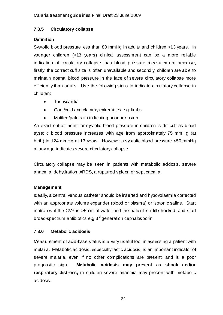# **7.8.5 Circulatory collapse**

# **Definition**

Systolic blood pressure less than 80 mmHg in adults and children >13 years. In younger children (<13 years) clinical assessment can be a more reliable indication of circulatory collapse than blood pressure measurement because, firstly, the correct cuff size is often unavailable and secondly, children are able to maintain normal blood pressure in the face of severe circulatory collapse more efficiently than adults. Use the following signs to indicate circulatory collapse in children:

- Tachycardia
- Cool/cold and clammy extremities e.g. limbs
- Mottled/pale skin indicating poor perfusion

An exact cut-off point for systolic blood pressure in children is difficult as blood systolic blood pressure increases with age from approximately 75 mmHg (at birth) to 124 mmHg at 13 years. However a systolic blood pressure <50 mmHg at any age indicates severe circulatory collapse.

Circulatory collapse may be seen in patients with metabolic acidosis, severe anaemia, dehydration, ARDS, a ruptured spleen or septicaemia.

# **Management**

Ideally, a central venous catheter should be inserted and hypovolaemia corrected with an appropriate volume expander (blood or plasma) or isotonic saline. Start inotropes if the CVP is >5 cm of water and the patient is still shocked, and start broad-spectrum antibiotics e.g.3<sup>rd</sup> generation cephalosporin.

# **7.8.6 Metabolic acidosis**

Measurement of acid-base status is a very useful tool in assessing a patient with malaria. Metabolic acidosis, especially lactic acidosis, is an important indicator of severe malaria, even if no other complications are present, and is a poor prognostic sign. **Metabolic acidosis may present as shock and/or respiratory distress;** in children severe anaemia may present with metabolic acidosis.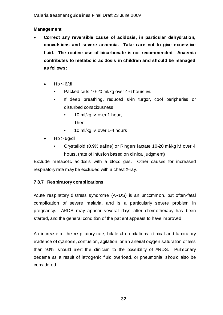## **Management**

- **Correct any reversible cause of acidosis, in particular dehydration, convulsions and severe anaemia. Take care not to give excessive fluid. The routine use of bicarbonate is not recommended. Anaemia contributes to metabolic acidosis in children and should be managed as follows:** 
	- $Hb \leq 6/dl$ 
		- Packed cells 10-20 ml/kg over 4-6 hours ivi.
		- If deep breathing, reduced skin turgor, cool peripheries or disturbed consciousness
			- 10 ml/kg ivi over 1 hour, Then
			- 10 ml/kg ivi over 1-4 hours
	- $\bullet$  Hb > 6g/dl
		- Crystalloid (0,9% saline) or Ringers lactate 10-20 ml/kg ivi over 4 hours. (rate of infusion based on clinical judgment)

Exclude metabolic acidosis with a blood gas. Other causes for increased respiratory rate may be excluded with a chest X-ray.

# **7.8.7 Respiratory complications**

Acute respiratory distress syndrome (ARDS) is an uncommon, but often-fatal complication of severe malaria, and is a particularly severe problem in pregnancy. ARDS may appear several days after chemotherapy has been started, and the general condition of the patient appears to have improved.

An increase in the respiratory rate, bilateral crepitations, clinical and laboratory evidence of cyanosis, confusion, agitation, or an arterial oxygen saturation of less than 90%, should alert the clinician to the possibility of ARDS. Pulmonary oedema as a result of iatrogenic fluid overload, or pneumonia, should also be considered.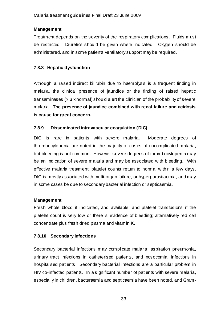## **Management**

Treatment depends on the severity of the respiratory complications. Fluids must be restricted. Diuretics should be given where indicated. Oxygen should be administered, and in some patients ventilatory support may be required.

# **7.8.8 Hepatic dysfunction**

Although a raised indirect bilirubin due to haemolysis is a frequent finding in malaria, the clinical presence of jaundice or the finding of raised hepatic transaminases ( $\geq$  3 x normal) should alert the clinician of the probability of severe malaria. **The presence of jaundice combined with renal failure and acidosis is cause for great concern.** 

# **7.8.9 Disseminated intravascular coagulation (DIC)**

DIC is rare in patients with severe malaria. Moderate degrees of thrombocytopenia are noted in the majority of cases of uncomplicated malaria, but bleeding is not common. However severe degrees of thrombocytopenia may be an indication of severe malaria and may be associated with bleeding. With effective malaria treatment, platelet counts retum to normal within a few days. DIC is mostly associated with multi-organ failure, or hyperparasitaemia, and may in some cases be due to secondary bacterial infection or septicaemia.

# **Management**

Fresh whole blood if indicated, and available; and platelet transfusions if the platelet count is very low or there is evidence of bleeding; alternatively red cell concentrate plus fresh dried plasma and vitamin K.

# **7.8.10 Secondary infections**

Secondary bacterial infections may complicate malaria: aspiration pneumonia, urinary tract infections in catheterised patients, and nosocomial infections in hospitalised patients. Secondary bacterial infections are a particular problem in HIV co-infected patients. In a significant number of patients with severe malaria, especially in children, bacteraemia and septicaemia have been noted, and Gram-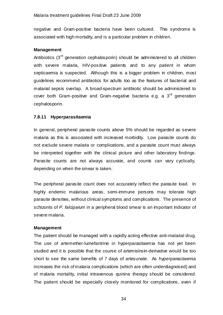negative and Gram-positive bacteria have been cultured. This syndrome is associated with high mortality, and is a particular problem in children.

## **Management**

Antibiotics  $3<sup>rd</sup>$  generation cephalosporin) should be administered to all children with severe malaria, HIV-positive patients and to any patient in whom septicaemia is suspected. Although this is a bigger problem in children, most guidelines recommend antibiotics for adults too as the features of bacterial and malarial sepsis overlap. A broad-spectrum antibiotic should be administered to cover both Gram-positive and Gram-negative bacteria e.g. a  $3<sup>rd</sup>$  generation cephalosporin.

## **7.8.11 Hyperparasitaemia**

In general, peripheral parasite counts above 5% should be regarded as severe malaria as this is associated with increased morbidity. Low parasite counts do not exclude severe malaria or complications, and a parasite count must always be interpreted together with the clinical picture and other laboratory findings. Parasite counts are not always accurate, and counts can vary cyclically, depending on when the smear is taken.

The peripheral parasite count does not accurately reflect the parasite load. In highly endemic malarious areas, semi-immune persons may tolerate high parasite densities, without clinical symptoms and complications. The presence of schizonts of *P. falciparum* in a peripheral blood smear is an important indicator of severe malaria.

## **Management**

The patient should be managed with a rapidly acting effective anti-malarial drug. The use of artemether-lumefantrine in hyperparasitaemia has not yet been studied and it is possible that the course of artemisinsin-derivative would be too short to see the same benefits of 7 days of artesunate. As hyperparasitaemia increases the risk of malaria complications (which are often underdiagnosed) and of malaria mortality, initial intravenous quinine therapy should be considered. The patient should be especially closely monitored for complications, even if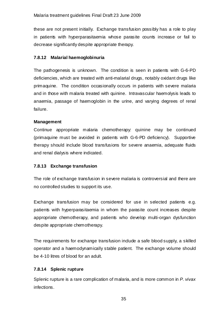these are not present initially. Exchange transfusion possibly has a role to play in patients with hyperparasitaemia whose parasite counts increase or fail to decrease significantly despite appropriate therapy.

# **7.8.12 Malarial haemoglobinuria**

The pathogenesis is unknown. The condition is seen in patients with G-6-PD deficiencies, which are treated with anti-malarial drugs, notably oxidant drugs like primaquine. The condition occasionally occurs in patients with severe malaria and in those with malaria treated with quinine. Intravascular haemolysis leads to anaemia, passage of haemoglobin in the urine, and varying degrees of renal failure.

# **Management**

Continue appropriate malaria chemotherapy: quinine may be continued (primaquine must be avoided in patients with G-6-PD deficiency). Supportive therapy should include blood transfusions for severe anaemia, adequate fluids and renal dialysis where indicated.

# **7.8.13 Exchange transfusion**

The role of exchange transfusion in severe malaria is controversial and there are no controlled studies to support its use.

Exchange transfusion may be considered for use in selected patients e.g. patients with hyperparasitaemia in whom the parasite count increases despite appropriate chemotherapy, and patients who develop multi-organ dysfunction despite appropriate chemotherapy.

The requirements for exchange transfusion indude a safe blood supply, a skilled operator and a haemodynamically stable patient. The exchange volume should be 4-10 litres of blood for an adult.

# **7.8.14 Splenic rupture**

Splenic rupture is a rare complication of malaria, and is more common in *P. vivax* infections.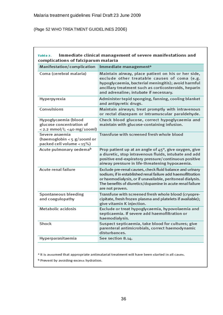(Page 52 WHO TREA TMENT GUIDELINES 2006)

| Manifestation/complication                                                           | Immediate management <sup>a</sup>                                                                                                                                                                                                                                     |
|--------------------------------------------------------------------------------------|-----------------------------------------------------------------------------------------------------------------------------------------------------------------------------------------------------------------------------------------------------------------------|
| Coma (cerebral malaria)                                                              | Maintain airway, place patient on his or her side,<br>exclude other treatable causes of coma (e.g.<br>hypoglycaemia, bacterial meningitis); avoid harmful<br>ancillary treatment such as corticosteroids, heparin<br>and adrenaline; intubate if necessary.           |
| Hyperpyrexia                                                                         | Administer tepid sponging, fanning, cooling blanket<br>and antipyretic drugs.                                                                                                                                                                                         |
| Convulsions                                                                          | Maintain airways; treat promptly with intravenous<br>or rectal diazepam or intramuscular paraldehyde.                                                                                                                                                                 |
| Hypoglycaemia (blood<br>glucose concentration of<br>$<$ 2.2 mmol/l; $<$ 40 mg/100ml) | Check blood glucose, correct hypoglycaemia and<br>maintain with glucose-containing infusion.                                                                                                                                                                          |
| Severe anaemia<br>(haemoglobin < $5 g$ /100ml or<br>packed cell volume <15%)         | Transfuse with screened fresh whole blood                                                                                                                                                                                                                             |
| Acute pulmonary oedema <sup>b</sup>                                                  | Prop patient up at an angle of 45°, give oxygen, give<br>a diuretic, stop intravenous fluids, intubate and add<br>positive end-expiratory pressure/continuous positive<br>airway pressure in life-threatening hypoxaemia.                                             |
| Acute renal failure                                                                  | Exclude pre-renal causes, check fluid balance and urinary<br>sodium; if in established renal failure add haemofiltration<br>or haemodialysis, or if unavailable, peritoneal dialysis.<br>The benefits of diuretics/dopamine in acute renal failure<br>are not proven. |
| Spontaneous bleeding<br>and coagulopathy                                             | Transfuse with screened fresh whole blood (cryopre-<br>cipitate, fresh frozen plasma and platelets if available);<br>give vitamin K injection.                                                                                                                        |
| Metabolic acidosis                                                                   | Exclude or treat hypoglycaemia, hypovolaemia and<br>septicaemia. If severe add haemofiltration or<br>haemodialysis.                                                                                                                                                   |
| Shock                                                                                | Suspect septicaemia, take blood for cultures; give<br>parenteral antimicrobials, correct haemodynamic<br>disturbances.                                                                                                                                                |
| Hyperparasitaemia                                                                    | See section 8.14.                                                                                                                                                                                                                                                     |

<sup>a</sup> It is assumed that appropriate antimalarial treatment will have been started in all cases.

b Prevent by avoiding excess hydration.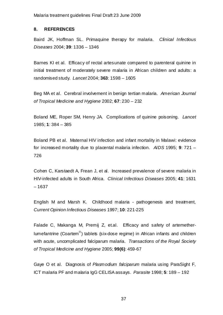## **8. REFERENCES**

Baird JK, Hoffman SL. Primaquine therapy for malaria. *Clinical Infectious Diseases* 2004; **39**: 1336 – 1346

Barnes KI et al. Efficacy of rectal artesunate compared to parenteral quinine in initial treatment of moderately severe malaria in African children and adults: a randomised study. *Lancet* 2004; **363**: 1598 – 1605

Beg MA et al. Cerebral involvement in benign tertian malaria. *American Journal of Tropical Medicine and Hygiene* 2002; **67**: 230 – 232

Boland ME, Roper SM, Henry JA. Complications of quinine poisoning. *Lancet* 1985; **1**: 384 – 385

Boland PB et al. Maternal HIV infection and infant mortality in Malawi: evidence for increased mortality due to placental malaria infection. *AIDS* 1995; **9**: 721 – 726

Cohen C, Karstaedt A, Frean J, et al. Increased prevalence of severe malaria in HIV-infected adults in South Africa. *Clinical Infectious Diseases* 2005; **41**: 1631 – 1637

English M and Marsh K. Childhood malaria - pathogenesis and treatment, *Current Opinion Infectious Diseases* 1997; **10**: 221-225

Falade C, Makanga M, Premij Z, et.al. Efficacy and safety of artemetherlumefantrine (Coartem<sup>®</sup>) tablets (six-dose regime) in African infants and children with acute, uncomplicated falciparum malaria. *Transactions of the Royal Society of Tropical Medicine and Hygiene* 2005; **99(6)**: 459-67

Gaye O et al. Diagnosis of *Plasmodium falciparum* malaria using ParaSight F, ICT malaria PF and malaria IgG CELISA assays. *Parasite* 1998; **5**: 189 – 192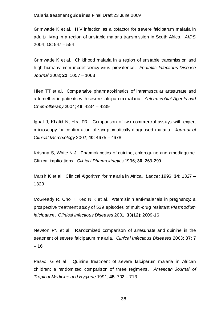Grimwade K et al. HIV infection as a cofactor for severe falciparum malaria in adults living in a region of unstable malaria transmission in South Africa. *AIDS* 2004; **18**: 547 – 554

Grimwade K et al. Childhood malaria in a region of unstable transmission and high humans' immunodeficiency virus prevalence. *Pediatric Infectious Disease Journal* 2003; **22**: 1057 – 1063

Hien TT et al. Comparative pharmacokinetics of intramuscular artesunate and artemether in patients with severe falciparum malaria. *Anti-microbial Agents and Chemotherapy* 2004; **48**: 4234 – 4239

Igbal J, Khalid N, Hira PR. Comparison of two commercial assays with expert microscopy for confirmation of symptomatically diagnosed malaria. *Journal of Clinical Microbiology* 2002; **40**: 4675 – 4678

Krishna S, White N J. Pharmokinetics of quinine, chloroquine and amodiaquine. Clinical implications. *Clinical Pharmokinetics* 1996; **30**: 263-299

Marsh K et al. Clinical Algorithm for malaria in Africa. *Lancet* 1996; **34**: 1327 – 1329

McGready R, Cho T, Keo N K et al. Artemisinin anti-malarials in pregnancy: a prospective treatment study of 539 episodes of multi-drug resistant *Plasmodium falciparum*. *Clinical Infectious Diseases* 2001; **33(12)**: 2009-16

Newton PN et al. Randomized comparison of artesunate and quinine in the treatment of severe falciparum malaria. *Clinical Infectious Diseases* 2003; **37**: 7 – 16

Pasvol G et al. Quinine treatment of severe falciparum malaria in African children: a randomized comparison of three regimens. *American Journal of Tropical Medicine and Hygiene* 1991; **45**: 702 – 713

 $38<sup>2</sup>$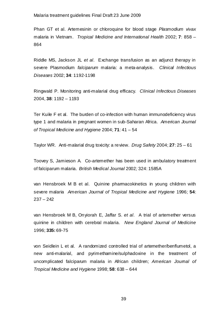Phan GT et al. Artemesinin or chloroquine for blood stage *Plasmodium vivax* malaria in Vietnam. *Tropical Medicine and International Health* 2002; **7**: 858 – 864

Riddle MS, Jackson JL *et al*. Exchange transfusion as an adjunct therapy in severe Plasmodium *falciparum* malaria: a meta-analysis. *Clinical Infectious Diseases* 2002; **34**: 1192-1198

Ringwald P. Monitoring anti-malarial drug efficacy. *Clinical Infectious Diseases* 2004, **38**: 1192 – 1193

Ter Kuile F et al. The burden of co-infection with human immunodeficiency virus type 1 and malaria in pregnant women in sub-Saharan Africa. *American Journal of Tropical Medicine and Hygiene* 2004; **71**: 41 – 54

Taylor WR. Anti-malarial drug toxicity: a review. *Drug Safety* 2004; **27**: 25 – 61

Toovey S, Jamieson A. Co-artemether has been used in ambulatory treatment of falciparum malaria. *British Medical Journal* 2002*;* 324: 1585A

van Hensbroek M B et al. Quinine pharmacokinetics in young children with severe malaria *American Journal of Tropical Medicine and Hygiene* 1996; **54**: 237 – 242

van Hensbroek M B, Onyiorah E, Jaffar S. *et al*. A trial of artemether versus quinine in children with cerebral malaria. *New England Journal of Medicine* 1996; **335:** 69-75

von Seidlein L et al. A randomized controlled trial of artemether/benflumetol, a new anti-malarial, and pyrimethamine/sulphadoxine in the treatment of uncomplicated falciparum malaria in African children; *American Journal of Tropical Medicine and Hygiene* 1998; **58**: 638 – 644

<u>39 and 2012</u>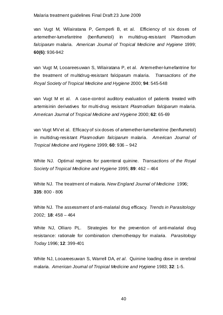van Vugt M, Wilairatana P, Gemperli B, et al. Efficiency of six doses of artemether-lumefantrine (benflumetol) in multidrug-resistant Plasmodium *falciparum* malaria. *American Journal of Tropical Medicine and Hygiene* 1999; **60(6)**: 936-942

van Vugt M, Looareesuwan S, Wilairatana P, et al. Artemether-lumefantrine for the treatment of multidrug-resistant falciparum malaria. *Transactions of the Royal Society of Tropical Medicine and Hygiene* 2000; **94**: 545-548

van Vugt M et al. A case-control auditory evaluation of patients treated with artemisinin derivatives for multi-drug resistant *Plasmodium falciparum* malaria. *American Journal of Tropical Medicine and Hygiene* 2000; **62**: 65-69

van Vugt MV et al. Efficacy of six doses of artemether-lumefantrine (benflumetol) in multidrug-resistant *Plasmodium falciparum* malaria. *American Journal of Tropical Medicine and Hygiene* 1999; **60**: 936 – 942

White NJ. Optimal regimes for parenteral quinine. *Transactions of the Royal Society of Tropical Medicine and Hygiene* 1995; **89**: 462 – 464

White NJ. The treatment of malaria. *New England Journal of Medicine* 1996; **335**: 800 - 806

White NJ. The assessment of anti-malarial drug efficacy. *Trends in Parasitology* 2002; **18**: 458 – 464

White NJ, Olliaro PL. Strategies for the prevention of anti-malarial drug resistance: rationale for combination chemotherapy for malaria. *Parasitology Today* 1996; **12**: 399-401

White NJ, Looareesuwan S, Warrell DA, *et al*. Quinine loading dose in cerebral malaria. *American Journal of Tropical Medicine and Hygiene* 1983; **32**: 1-5.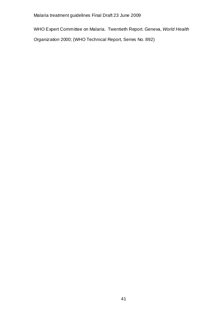WHO Expert Committee on Malaria. Twentieth Report. Geneva, *World Health* 

*Organization* 2000; (WHO Technical Report, Series No. 892)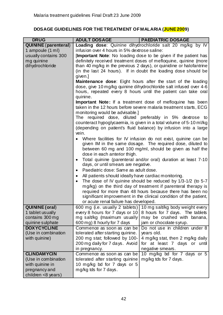# **DOSAGE GUIDELINES FOR THE TREATMENT OF MALARIA (JUNE 2009)**

| <b>DRUG</b>                 | <b>ADULT DOSAGE</b>                                                                                                        | <b>PAEDIATRIC DOSAGE</b>                                           |
|-----------------------------|----------------------------------------------------------------------------------------------------------------------------|--------------------------------------------------------------------|
| <b>QUININE</b> (parenteral) | Loading dose: Quinine dihydrochloride salt 20 mg/kg by IV                                                                  |                                                                    |
| 1 ampoule (1 ml)            | infusion over 4 hours in 5% dextrose saline:                                                                               |                                                                    |
| usually contains 300        | <b>Important Note:</b> No loading dose to be given if the patient has                                                      |                                                                    |
| mg quinine                  | definitely received treatment doses of mefloquine, quinine (more                                                           |                                                                    |
| dihydrochloride             | than 40 mg/kg in the previous 2 days), or quinidine or halofantrine                                                        |                                                                    |
|                             | (in the last 24 hours). If in doubt the loading dose should be                                                             |                                                                    |
|                             | given.]<br><b>Maintenance dose:</b> Eight hours after the start of the loading                                             |                                                                    |
|                             | dose, give 10 mg/kg quinine dihydrochloride salt infused over 4-6                                                          |                                                                    |
|                             | hours, repeated every 8 hours until the patient can take oral                                                              |                                                                    |
|                             | quinine.                                                                                                                   |                                                                    |
|                             | <b>Important Note:</b> If a treatment dose of mefloquine has been                                                          |                                                                    |
|                             | taken in the 12 hours before severe malaria treatment starts, ECG                                                          |                                                                    |
|                             | monitoring would be advisable.]                                                                                            |                                                                    |
|                             |                                                                                                                            | The required dose, diluted preferably in 5% dextrose to            |
|                             |                                                                                                                            | counteract hypoglycaemia, is given in a total volume of 5-10 ml/kg |
|                             |                                                                                                                            | (depending on patient's fluid balance) by infusion into a large    |
|                             | vein.                                                                                                                      |                                                                    |
|                             |                                                                                                                            | Where facilities for IV infusion do not exist, quinine can be      |
|                             |                                                                                                                            | given IM in the same dosage. The required dose, diluted to         |
|                             |                                                                                                                            | between 60 mg and 100 mg/ml, should be given as half the           |
|                             | dose in each anterior thigh.                                                                                               |                                                                    |
|                             | Total quinine (parenteral and/or oral) duration at least 7-10                                                              |                                                                    |
|                             | days, or until smears are negative.<br>Paediatric dose: Same as adult dose.                                                |                                                                    |
|                             | $\bullet$                                                                                                                  |                                                                    |
|                             | All patients should ideally have cardiac monitoring.<br>٠                                                                  |                                                                    |
|                             | The dose of IV quinine should be reduced by 1/3-1/2 (to 5-7<br>$\bullet$                                                   |                                                                    |
|                             | mg/kg) on the third day of treatment if parenteral therapy is<br>required for more than 48 hours because there has been no |                                                                    |
|                             |                                                                                                                            | significant improvement in the clinical condition of the patient,  |
|                             | or acute renal failure has developed.                                                                                      |                                                                    |
| <b>QUININE</b> (oral)       | 600 mg (i.e. usually 2 tablets)                                                                                            | 10 mg salt/kg body weight every                                    |
| 1 tablet usually            | every 8 hours for 7 days or 10                                                                                             | 8 hours for 7 days. The tablets                                    |
| contains 300 mg             | mg salt/kg (maximum usually                                                                                                | may be crushed with banana,                                        |
| quinine sulphate            | 600 mg) 8 hourly for 7 days                                                                                                | jam or chocolate syrup.                                            |
| <b>DOXYCYCLINE</b>          | Commence as soon as can be                                                                                                 | Do not use in children under 8                                     |
| (Use in combination         | tolerated after starting quinine.                                                                                          | years old.                                                         |
| with quinine)               | 200 mg stat; followed by 100-                                                                                              | 4 mg/kg stat, then 2 mg/kg daily                                   |
|                             | 200 mg daily for 7 days. Avoid                                                                                             | for at least 7 days or until                                       |
|                             | in pregnancy.                                                                                                              | negative smears.                                                   |
| <b>CLINDAMYCIN</b>          | Commence as soon as can be                                                                                                 | 10 mg/kg bd for 7 days or 5                                        |
| (Use in combination         | tolerated after starting quinine                                                                                           | mg/kg tds for 7 days.                                              |
| with quinine in             | 10 mg/kg bd for 7 days or 5                                                                                                |                                                                    |
| pregnancy and               | mg/kg tds for 7 days.                                                                                                      |                                                                    |
| children <8 years)          |                                                                                                                            |                                                                    |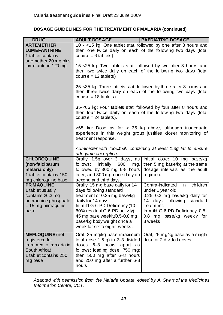# **DOSAGE GUIDELINES FOR THE TREATMENT OF MALARIA (continued)**

| <b>DRUG</b>                                                                                                                                                   | <b>ADULT DOSAGE</b>                                                                                                                                                                                                                                                                | <b>PAEDIATRIC DOSAGE</b>                                                                                                                                                                                                           |
|---------------------------------------------------------------------------------------------------------------------------------------------------------------|------------------------------------------------------------------------------------------------------------------------------------------------------------------------------------------------------------------------------------------------------------------------------------|------------------------------------------------------------------------------------------------------------------------------------------------------------------------------------------------------------------------------------|
| <b>ARTEMETHER</b><br><b>LUMEFANTRINE</b><br>1 tablet contains                                                                                                 | $course = 6$ tablets)                                                                                                                                                                                                                                                              | 10 - <15 kg: One tablet stat, followed by one after 8 hours and<br>then one twice daily on each of the following two days (total                                                                                                   |
| artemether 20 mg plus<br>lumefantrine 120 mg.                                                                                                                 | 15-<25 kg: Two tablets stat, followed by two after 8 hours and<br>then two twice daily on each of the following two days (total<br>$course = 12$ tablets)                                                                                                                          |                                                                                                                                                                                                                                    |
|                                                                                                                                                               | 25-<35 kg: Three tablets stat, followed by three after 8 hours and<br>then three twice daily on each of the following two days (total<br>$course = 18$ tablets)                                                                                                                    |                                                                                                                                                                                                                                    |
| 35-<65 kg: Four tablets stat, followed by four after 8 hours and<br>then four twice daily on each of the following two days (total<br>$course = 24$ tablets). |                                                                                                                                                                                                                                                                                    |                                                                                                                                                                                                                                    |
|                                                                                                                                                               | treatment response.                                                                                                                                                                                                                                                                | $>65$ kg: Dose as for $> 35$ kg above, although inadequate<br>experience in this weight group justifies doser monitoring of                                                                                                        |
|                                                                                                                                                               | Administer with food/milk containing at least 1.3g fat to ensure<br>adequate absorption.                                                                                                                                                                                           |                                                                                                                                                                                                                                    |
| <b>CHLOROQUINE</b><br>(non-falciparum<br>malaria only)<br>1 tablet contains 150<br>mg chloroquine base                                                        | Orally: 1.5g over 3 days, as<br>follows:<br>initially<br>600<br>mg,<br>followed by 300 mg 6-8 hours<br>later, and 300 mg once daily on<br>second and third days.                                                                                                                   | Initial dose: 10 mg base/kg<br>then 5 mg base/kg at the same<br>dosage intervals as the adult<br>regimen.                                                                                                                          |
| <b>PRIMAQUINE</b><br>1 tablet usually<br>contains 26.3 mg<br>primaquine phosphate<br>$= 15$ mg primaquine<br>base.                                            | Orally: 15 mg base daily for 14<br>days following standard<br>treatment or 0.25 mg base/kg<br>daily for 14 days.<br>In mild G-6-PD Deficiency (10-<br>60% residual G-6-PD activity):<br>45 mg base weekly/0.5-0.8 mg<br>base/kg body weight once a<br>week for six to eight weeks. | children<br>Contra-indicated<br>$\overline{m}$<br>under 1 year old.<br>0.25-0.3 mg base/kg daily for<br>14 days following<br>standard<br>treatment.<br>In mild G-6-PD Deficiency: 0.5-<br>base/kg weekly for<br>0.8 mg<br>8 weeks. |
| <b>MEFLOQUINE</b> (not<br>registered for<br>treatment of malaria in<br>South Africa)<br>1 tablet contains 250<br>mg base                                      | Oral, 25 mg/kg base (maximum<br>total dose $1.5$ g) in 2-3 divided<br>doses<br>6-8 hours<br>apart as<br>follows: loading dose, 750 mg;<br>then 500 mg after 6-8 hours<br>and 250 mg after a further 6-8<br>hours.                                                                  | Oral, 25 mg/kg base as a single<br>dose or 2 divided doses.                                                                                                                                                                        |

*Adapted with permission from the Malaria Update, edited by A. Swart of the Medicines Information Centre, UCT.*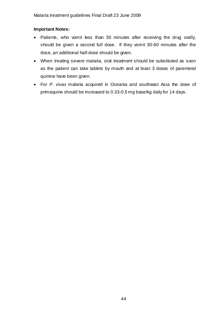# **Important Notes:**

- Patients, who vomit less than 30 minutes after receiving the drug orally, should be given a second full dose. If they vomit 30-60 minutes after the dose, an additional half-dose should be given.
- When treating severe malaria, oral treatment should be substituted as soon as the patient can take tablets by mouth and at least 3 doses of parenteral quinine have been given.
- For *P. vivax* malaria acquired in Oceania and southeast Asia the dose of primaquine should be increased to 0.33-0.5 mg base/kg daily for 14 days.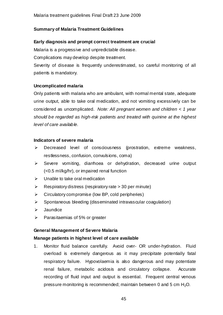# **Summary of Malaria Treatment Guidelines**

# **Early diagnosis and prompt correct treatment are crucial**

Malaria is a progressive and unpredictable disease.

Complications may develop despite treatment.

Severity of disease is frequently underestimated, so careful monitoring of all patients is mandatory.

# **Uncomplicated malaria**

Only patients with malaria who are ambulant, with normal mental state, adequate urine output, able to take oral medication, and not vomiting excessively can be considered as uncomplicated. *Note: All pregnant women and children < 1 year should be regarded as high-risk patients and treated with quinine at the highest level of care available.* 

# **Indicators of severe malaria**

- $\triangleright$  Decreased level of consciousness (prostration, extreme weakness, restlessness, confusion, convulsions, coma)
- ¾ Severe vomiting, diarrhoea or dehydration, decreased urine output (<0.5 ml/kg/hr), or impaired renal function
- $\triangleright$  Unable to take oral medication
- $\triangleright$  Respiratory distress (respiratory rate  $>$  30 per minute)
- $\triangleright$  Circulatory compromise (low BP, cold peripheries)
- $\triangleright$  Spontaneous bleeding (disseminated intravascular coagulation)
- $\triangleright$  Jaundice
- $\triangleright$  Parasitaemias of 5% or greater

# **General Management of Severe Malaria**

# **Manage patients in highest level of care available**

1. Monitor fluid balance carefully. Avoid over- OR under-hydration. Fluid overload is extremely dangerous as it may precipitate potentially fatal respiratory failure. Hypovolaemia is also dangerous and may potentiate renal failure, metabolic acidosis and circulatory collapse. Accurate recording of fluid input and output is essential. Frequent central venous pressure monitoring is recommended; maintain between 0 and 5 cm  $H_2O$ .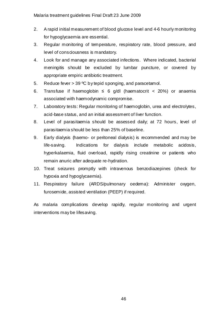- 2. A rapid initial measurement of blood glucose level and 4-6 hourly monitoring for hypoglycaemia are essential.
- 3. Regular monitoring of temperature, respiratory rate, blood pressure, and level of consciousness is mandatory.
- 4. Look for and manage any associated infections. Where indicated, bacterial meningitis should be excluded by lumbar puncture, or covered by appropriate empiric antibiotic treatment.
- 5. Reduce fever > 39 °C by tepid sponging, and paracetamol.
- 6. Transfuse if haemoglobin ≤ 6 g/dl (haematocrit < 20%) or anaemia associated with haemodynamic compromise.
- 7. Laboratory tests: Regular monitoring of haemoglobin, urea and electrolytes, acid-base status, and an initial assessment of liver function.
- 8. Level of parasitaemia should be assessed daily; at 72 hours, level of parasitaemia should be less than 25% of baseline.
- 9. Early dialysis (haemo- or peritoneal dialysis) is recommended and may be life-saving. Indications for dialysis include metabolic acidosis, hyperkalaemia, fluid overload, rapidly rising creatinine or patients who remain anuric after adequate re-hydration.
- 10. Treat seizures promptly with intravenous benzodiazepines (check for hypoxia and hypoglycaemia).
- 11. Respiratory failure (ARDS/pulmonary oedema): Administer oxygen, furosemide, assisted ventilation (PEEP) if required.

As malaria complications develop rapidly, regular monitoring and urgent interventions may be lifesaving.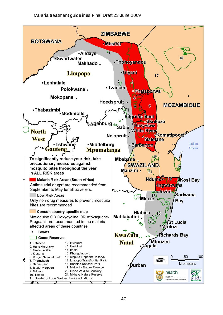